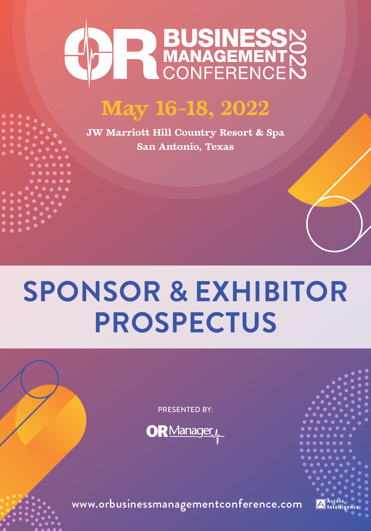

# **May 16-18, 2022**

**JW Marriott Hill Country Resort & Spa San Antonio, Texas**

# **SPONSOR & EXHIBITOR PROSPECTUS**

PRESENTED BY:



www.orbusinessmanagementconference.com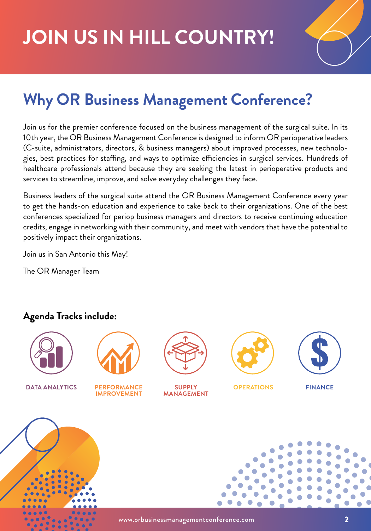# **JOIN US IN HILL COUNTRY!**



# **Why OR Business Management Conference?**

Join us for the premier conference focused on the business management of the surgical suite. In its 10th year, the OR Business Management Conference is designed to inform OR perioperative leaders (C-suite, administrators, directors, & business managers) about improved processes, new technologies, best practices for staffing, and ways to optimize efficiencies in surgical services. Hundreds of healthcare professionals attend because they are seeking the latest in perioperative products and services to streamline, improve, and solve everyday challenges they face.

Business leaders of the surgical suite attend the OR Business Management Conference every year to get the hands-on education and experience to take back to their organizations. One of the best conferences specialized for periop business managers and directors to receive continuing education credits, engage in networking with their community, and meet with vendors that have the potential to positively impact their organizations.

Join us in San Antonio this May!

The OR Manager Team

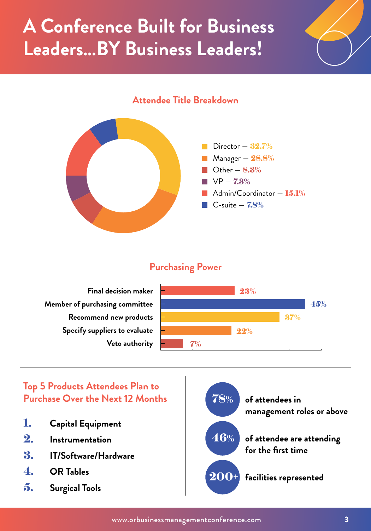# **A Conference Built for Business Leaders…BY Business Leaders!**







### **Purchasing Power**

**Final decision maker Member of purchasing committee Recommend new products Specify suppliers to evaluate Veto authority**



### **Top 5 Products Attendees Plan to Purchase Over the Next 12 Months**

- 1. **Capital Equipment**
- 2. **Instrumentation**
- 3. **IT/Software/Hardware**
- 4. **OR Tables**
- 5. **Surgical Tools**

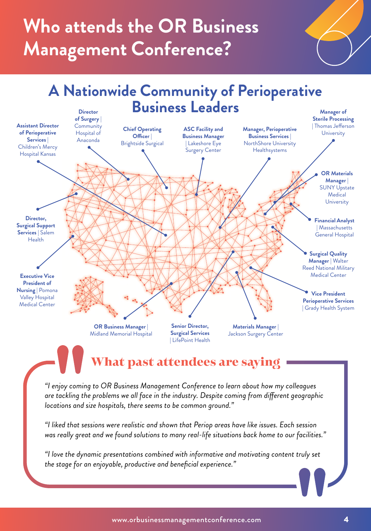# **Who attends the OR Business Management Conference?**



**Executive Vice President of Nursing** | Pomona Valley Hospital Medical Center

**Director, Surgical Support Services** | Salem Health

**Assistant Director of Perioperative Services** | Children's Mercy Hospital Kansas

> **OR Business Manager** | Midland Memorial Hospital

**Senior Director, Surgical Services**  | LifePoint Health

**Materials Manager** | Jackson Surgery Center

**Vice President Perioperative Services** 

| Grady Health System

## What past attendees are saying

*"I enjoy coming to OR Business Management Conference to learn about how my colleagues are tackling the problems we all face in the industry. Despite coming from different geographic locations and size hospitals, there seems to be common ground."*

*"I liked that sessions were realistic and shown that Periop areas have like issues. Each session was really great and we found solutions to many real-life situations back home to our facilities."*

*"I love the dynamic presentations combined with informative and motivating content truly set the stage for an enjoyable, productive and beneficial experience."*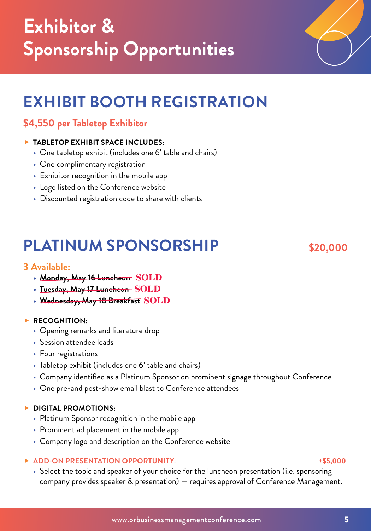# **EXHIBIT BOOTH REGISTRATION**

### **\$4,550 per Tabletop Exhibitor**

#### **TABLETOP EXHIBIT SPACE INCLUDES:**

- One tabletop exhibit (includes one 6' table and chairs)
- One complimentary registration
- Exhibitor recognition in the mobile app
- Logo listed on the Conference website
- Discounted registration code to share with clients

## **PLATINUM SPONSORSHIP** \$20,000

#### **3 Available:**

- **• Monday, May 16 Luncheon** SOLD
- **• Tuesday, May 17 Luncheon** SOLD
- **• Wednesday, May 18 Breakfast** SOLD

#### **RECOGNITION:**

- Opening remarks and literature drop
- Session attendee leads
- Four registrations
- Tabletop exhibit (includes one 6' table and chairs)
- Company identified as a Platinum Sponsor on prominent signage throughout Conference
- One pre-and post-show email blast to Conference attendees

#### **DIGITAL PROMOTIONS:**

- Platinum Sponsor recognition in the mobile app
- Prominent ad placement in the mobile app
- Company logo and description on the Conference website

#### ▶ ADD-ON PRESENTATION OPPORTUNITY: ★\$5,000

• Select the topic and speaker of your choice for the luncheon presentation (i.e. sponsoring company provides speaker & presentation) — requires approval of Conference Management.

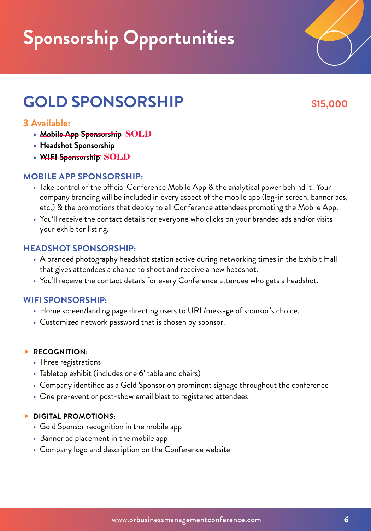# **Sponsorship Opportunities**

# **GOLD SPONSORSHIP \$15,000**

### **3 Available:**

- **• Mobile App Sponsorship** SOLD
- **• Headshot Sponsorship**
- **• WIFI Sponsorship** SOLD

### **MOBILE APP SPONSORSHIP:**

- Take control of the official Conference Mobile App & the analytical power behind it! Your company branding will be included in every aspect of the mobile app (log-in screen, banner ads, etc.) & the promotions that deploy to all Conference attendees promoting the Mobile App.
- You'll receive the contact details for everyone who clicks on your branded ads and/or visits your exhibitor listing.

### **HEADSHOT SPONSORSHIP:**

- A branded photography headshot station active during networking times in the Exhibit Hall that gives attendees a chance to shoot and receive a new headshot.
- You'll receive the contact details for every Conference attendee who gets a headshot.

### **WIFI SPONSORSHIP:**

- Home screen/landing page directing users to URL/message of sponsor's choice.
- Customized network password that is chosen by sponsor.

#### **RECOGNITION:**

- Three registrations
- Tabletop exhibit (includes one 6' table and chairs)
- Company identified as a Gold Sponsor on prominent signage throughout the conference
- One pre-event or post-show email blast to registered attendees

#### **DIGITAL PROMOTIONS:**

- Gold Sponsor recognition in the mobile app
- Banner ad placement in the mobile app
- Company logo and description on the Conference website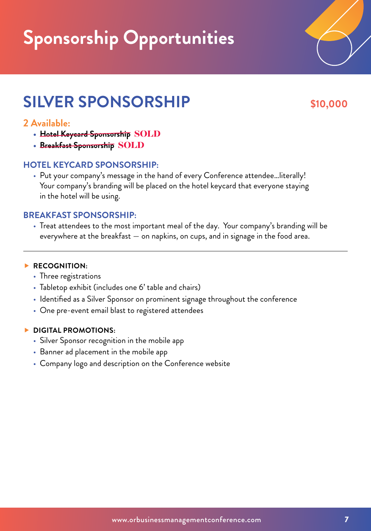# **Sponsorship Opportunities**

## **SILVER SPONSORSHIP** \$10,000

### **2 Available:**

- **• Hotel Keycard Sponsorship** SOLD
- **• Breakfast Sponsorship** SOLD

#### **HOTEL KEYCARD SPONSORSHIP:**

• Put your company's message in the hand of every Conference attendee…literally! Your company's branding will be placed on the hotel keycard that everyone staying in the hotel will be using.

#### **BREAKFAST SPONSORSHIP:**

• Treat attendees to the most important meal of the day. Your company's branding will be everywhere at the breakfast — on napkins, on cups, and in signage in the food area.

#### **RECOGNITION:**

- Three registrations
- Tabletop exhibit (includes one 6' table and chairs)
- Identified as a Silver Sponsor on prominent signage throughout the conference
- One pre-event email blast to registered attendees

#### **DIGITAL PROMOTIONS:**

- Silver Sponsor recognition in the mobile app
- Banner ad placement in the mobile app
- Company logo and description on the Conference website

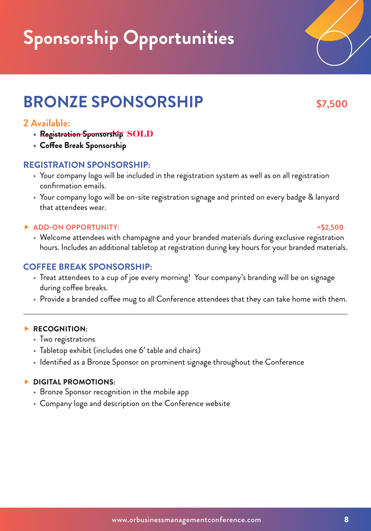# **Sponsorship Opportunities**

## **BRONZE SPONSORSHIP \$7,500**

### **2 Available:**

- **• Registration Sponsorship** SOLD
- **• Coffee Break Sponsorship**

#### **REGISTRATION SPONSORSHIP:**

- Your company logo will be included in the registration system as well as on all registration confirmation emails.
- Your company logo will be on-site registration signage and printed on every badge & lanyard that attendees wear.

#### **ADD-ON OPPORTUNITY: +\$2,500**

• Welcome attendees with champagne and your branded materials during exclusive registration hours. Includes an additional tabletop at registration during key hours for your branded materials.

#### **COFFEE BREAK SPONSORSHIP:**

- Treat attendees to a cup of joe every morning! Your company's branding will be on signage during coffee breaks.
- Provide a branded coffee mug to all Conference attendees that they can take home with them.

#### **RECOGNITION:**

- Two registrations
- Tabletop exhibit (includes one 6' table and chairs)
- Identified as a Bronze Sponsor on prominent signage throughout the Conference

#### **DIGITAL PROMOTIONS:**

- Bronze Sponsor recognition in the mobile app
- Company logo and description on the Conference website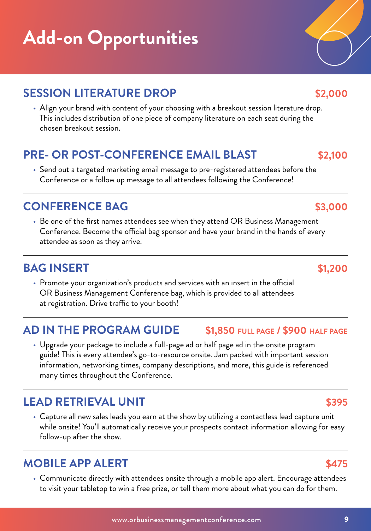# **Add-on Opportunities**

## **SESSION LITERATURE DROP \$2,000**

• Align your brand with content of your choosing with a breakout session literature drop. This includes distribution of one piece of company literature on each seat during the chosen breakout session.

## **PRE- OR POST-CONFERENCE EMAIL BLAST \$2,100**

• Send out a targeted marketing email message to pre-registered attendees before the Conference or a follow up message to all attendees following the Conference!

### **CONFERENCE BAG \$3,000**

• Be one of the first names attendees see when they attend OR Business Management Conference. Become the official bag sponsor and have your brand in the hands of every attendee as soon as they arrive.

## **BAG INSERT \$1,200**

• Promote your organization's products and services with an insert in the official OR Business Management Conference bag, which is provided to all attendees at registration. Drive traffic to your booth!

## **AD IN THE PROGRAM GUIDE \$1,850 FULL PAGE / \$900 HALF PAGE**

• Upgrade your package to include a full-page ad or half page ad in the onsite program guide! This is every attendee's go-to-resource onsite. Jam packed with important session information, networking times, company descriptions, and more, this guide is referenced many times throughout the Conference.

## **LEAD RETRIEVAL UNIT \$395**

• Capture all new sales leads you earn at the show by utilizing a contactless lead capture unit while onsite! You'll automatically receive your prospects contact information allowing for easy follow-up after the show.

## **MOBILE APP ALERT SATS**

• Communicate directly with attendees onsite through a mobile app alert. Encourage attendees to visit your tabletop to win a free prize, or tell them more about what you can do for them.